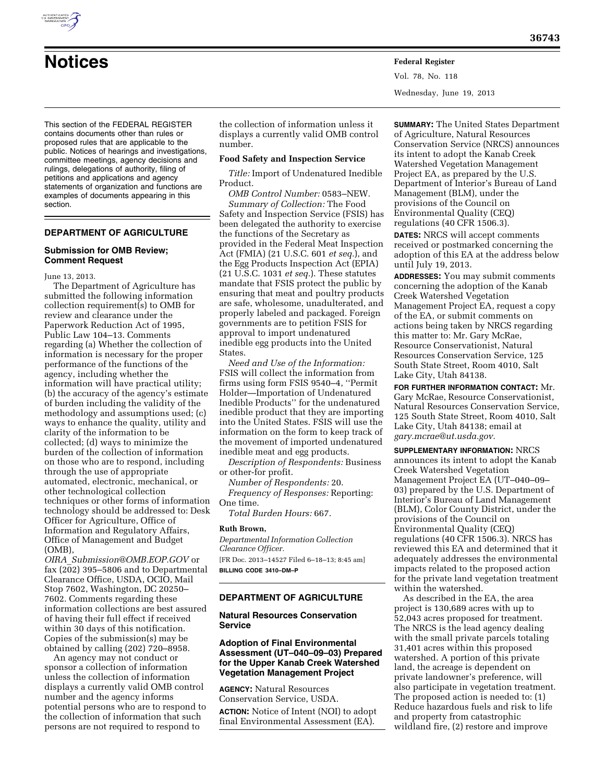This section of the FEDERAL REGISTER contains documents other than rules or proposed rules that are applicable to the public. Notices of hearings and investigations, committee meetings, agency decisions and rulings, delegations of authority, filing of petitions and applications and agency statements of organization and functions are examples of documents appearing in this section.

# **DEPARTMENT OF AGRICULTURE**

### **Submission for OMB Review; Comment Request**

June 13, 2013.

The Department of Agriculture has submitted the following information collection requirement(s) to OMB for review and clearance under the Paperwork Reduction Act of 1995, Public Law 104–13. Comments regarding (a) Whether the collection of information is necessary for the proper performance of the functions of the agency, including whether the information will have practical utility; (b) the accuracy of the agency's estimate of burden including the validity of the methodology and assumptions used; (c) ways to enhance the quality, utility and clarity of the information to be collected; (d) ways to minimize the burden of the collection of information on those who are to respond, including through the use of appropriate automated, electronic, mechanical, or other technological collection techniques or other forms of information technology should be addressed to: Desk Officer for Agriculture, Office of Information and Regulatory Affairs, Office of Management and Budget (OMB),

*OIRA*\_*Submission@OMB.EOP.GOV* or fax (202) 395–5806 and to Departmental Clearance Office, USDA, OCIO, Mail Stop 7602, Washington, DC 20250– 7602. Comments regarding these information collections are best assured of having their full effect if received within 30 days of this notification. Copies of the submission(s) may be obtained by calling (202) 720–8958.

An agency may not conduct or sponsor a collection of information unless the collection of information displays a currently valid OMB control number and the agency informs potential persons who are to respond to the collection of information that such persons are not required to respond to

the collection of information unless it displays a currently valid OMB control number.

#### **Food Safety and Inspection Service**

**Notices Federal Register**

*Title:* Import of Undenatured Inedible Product.

*OMB Control Number:* 0583–NEW. *Summary of Collection:* The Food Safety and Inspection Service (FSIS) has been delegated the authority to exercise the functions of the Secretary as provided in the Federal Meat Inspection Act (FMIA) (21 U.S.C. 601 *et seq.*), and the Egg Products Inspection Act (EPIA) (21 U.S.C. 1031 *et seq.*). These statutes mandate that FSIS protect the public by ensuring that meat and poultry products are safe, wholesome, unadulterated, and properly labeled and packaged. Foreign governments are to petition FSIS for approval to import undenatured inedible egg products into the United States.

*Need and Use of the Information:*  FSIS will collect the information from firms using form FSIS 9540–4, ''Permit Holder—Importation of Undenatured Inedible Products'' for the undenatured inedible product that they are importing into the United States. FSIS will use the information on the form to keep track of the movement of imported undenatured inedible meat and egg products.

*Description of Respondents:* Business or other-for profit.

*Number of Respondents:* 20.

*Frequency of Responses:* Reporting: One time.

*Total Burden Hours:* 667.

#### **Ruth Brown,**

*Departmental Information Collection Clearance Officer.* 

[FR Doc. 2013–14527 Filed 6–18–13; 8:45 am] **BILLING CODE 3410–DM–P** 

### **DEPARTMENT OF AGRICULTURE**

## **Natural Resources Conservation Service**

## **Adoption of Final Environmental Assessment (UT–040–09–03) Prepared for the Upper Kanab Creek Watershed Vegetation Management Project**

**AGENCY:** Natural Resources Conservation Service, USDA.

**ACTION:** Notice of Intent (NOI) to adopt final Environmental Assessment (EA).

**SUMMARY:** The United States Department of Agriculture, Natural Resources Conservation Service (NRCS) announces its intent to adopt the Kanab Creek Watershed Vegetation Management Project EA, as prepared by the U.S. Department of Interior's Bureau of Land Management (BLM), under the provisions of the Council on Environmental Quality (CEQ) regulations (40 CFR 1506.3).

Vol. 78, No. 118

Wednesday, June 19, 2013

**DATES:** NRCS will accept comments received or postmarked concerning the adoption of this EA at the address below until July 19, 2013.

**ADDRESSES:** You may submit comments concerning the adoption of the Kanab Creek Watershed Vegetation Management Project EA, request a copy of the EA, or submit comments on actions being taken by NRCS regarding this matter to: Mr. Gary McRae, Resource Conservationist, Natural Resources Conservation Service, 125 South State Street, Room 4010, Salt Lake City, Utah 84138.

**FOR FURTHER INFORMATION CONTACT:** Mr. Gary McRae, Resource Conservationist, Natural Resources Conservation Service, 125 South State Street, Room 4010, Salt Lake City, Utah 84138; email at *gary.mcrae@ut.usda.gov.* 

**SUPPLEMENTARY INFORMATION:** NRCS announces its intent to adopt the Kanab Creek Watershed Vegetation Management Project EA (UT–040–09– 03) prepared by the U.S. Department of Interior's Bureau of Land Management (BLM), Color County District, under the provisions of the Council on Environmental Quality (CEQ) regulations (40 CFR 1506.3). NRCS has reviewed this EA and determined that it adequately addresses the environmental impacts related to the proposed action for the private land vegetation treatment within the watershed.

As described in the EA, the area project is 130,689 acres with up to 52,043 acres proposed for treatment. The NRCS is the lead agency dealing with the small private parcels totaling 31,401 acres within this proposed watershed. A portion of this private land, the acreage is dependent on private landowner's preference, will also participate in vegetation treatment. The proposed action is needed to: (1) Reduce hazardous fuels and risk to life and property from catastrophic wildland fire, (2) restore and improve